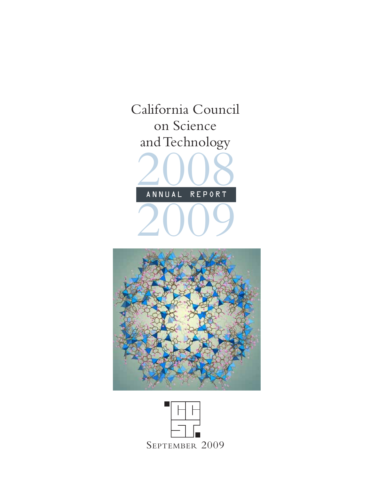



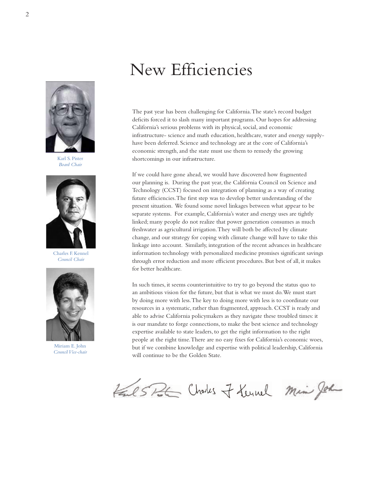# New Efficiencies

The past year has been challenging for California. The state's record budget deficits forced it to slash many important programs. Our hopes for addressing California's serious problems with its physical, social, and economic infrastructure- science and math education, healthcare, water and energy supplyhave been deferred. Science and technology are at the core of California's economic strength, and the state must use them to remedy the growing shortcomings in our infrastructure.

If we could have gone ahead, we would have discovered how fragmented our planning is. During the past year, the California Council on Science and Technology (CCST) focused on integration of planning as a way of creating future efficiencies. The first step was to develop better understanding of the present situation. We found some novel linkages between what appear to be separate systems. For example, California's water and energy uses are tightly linked; many people do not realize that power generation consumes as much freshwater as agricultural irrigation. They will both be affected by climate change, and our strategy for coping with climate change will have to take this linkage into account. Similarly, integration of the recent advances in healthcare information technology with personalized medicine promises significant savings through error reduction and more efficient procedures. But best of all, it makes for better healthcare.

In such times, it seems counterintuitive to try to go beyond the status quo to an ambitious vision for the future, but that is what we must do. We must start by doing more with less. The key to doing more with less is to coordinate our resources in a systematic, rather than fragmented, approach. CCST is ready and able to advise California policymakers as they navigate these troubled times: it is our mandate to forge connections, to make the best science and technology expertise available to state leaders, to get the right information to the right people at the right time. There are no easy fixes for California's economic woes, but if we combine knowledge and expertise with political leadership, California will continue to be the Golden State.

Fail SPL Choks of Lernel Min John

Karl S. Pister *Board Chair*



Charles F. Kennel *Council Chair*



Miriam E. John *Council Vice-chair*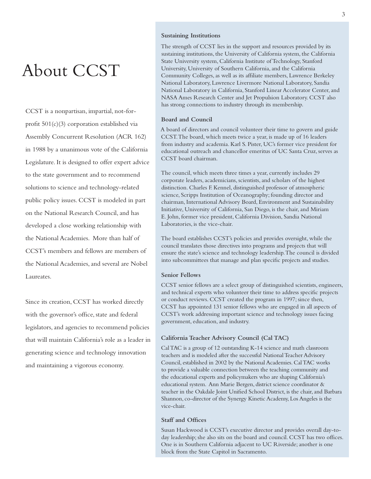# About CCST

CCST is a nonpartisan, impartial, not-forprofit 501(c)(3) corporation established via Assembly Concurrent Resolution (ACR 162) in 1988 by a unanimous vote of the California Legislature. It is designed to offer expert advice to the state government and to recommend solutions to science and technology-related public policy issues. CCST is modeled in part on the National Research Council, and has developed a close working relationship with the National Academies. More than half of CCST's members and fellows are members of the National Academies, and several are Nobel Laureates.

Since its creation, CCST has worked directly with the governor's office, state and federal legislators, and agencies to recommend policies that will maintain California's role as a leader in generating science and technology innovation and maintaining a vigorous economy.

### **Sustaining Institutions**

The strength of CCST lies in the support and resources provided by its sustaining institutions, the University of California system, the California State University system, California Institute of Technology, Stanford University, University of Southern California, and the California Community Colleges, as well as its affiliate members, Lawrence Berkeley National Laboratory, Lawrence Livermore National Laboratory, Sandia National Laboratory in California, Stanford Linear Accelerator Center, and NASA Ames Research Center and Jet Propulsion Laboratory. CCST also has strong connections to industry through its membership.

### **Board and Council**

A board of directors and council volunteer their time to govern and guide CCST. The board, which meets twice a year, is made up of 16 leaders from industry and academia. Karl S. Pister, UC's former vice president for educational outreach and chancellor emeritus of UC Santa Cruz, serves as CCST board chairman.

The council, which meets three times a year, currently includes 29 corporate leaders, academicians, scientists, and scholars of the highest distinction. Charles F. Kennel, distinguished professor of atmospheric science, Scripps Institution of Oceanography; founding director and chairman, International Advisory Board, Environment and Sustainability Initiative, University of California, San Diego, is the chair, and Miriam E. John, former vice president, California Division, Sandia National Laboratories, is the vice-chair.

The board establishes CCST's policies and provides oversight, while the council translates those directives into programs and projects that will ensure the state's science and technology leadership. The council is divided into subcommittees that manage and plan specific projects and studies.

### **Senior Fellows**

CCST senior fellows are a select group of distinguished scientists, engineers, and technical experts who volunteer their time to address specific projects or conduct reviews. CCST created the program in 1997; since then, CCST has appointed 131 senior fellows who are engaged in all aspects of CCST's work addressing important science and technology issues facing government, education, and industry.

### **California Teacher Advisory Council (Cal TAC)**

Cal TAC is a group of 12 outstanding K-14 science and math classroom teachers and is modeled after the successful National Teacher Advisory Council, established in 2002 by the National Academies. Cal TAC works to provide a valuable connection between the teaching community and the educational experts and policymakers who are shaping California's educational system. Ann Marie Bergen, district science coordinator & teacher in the Oakdale Joint Unified School District, is the chair, and Barbara Shannon, co-director of the Synergy Kinetic Academy, Los Angeles is the vice-chair.

### **Staff and Offices**

Susan Hackwood is CCST's executive director and provides overall day-today leadership; she also sits on the board and council. CCST has two offices. One is in Southern California adjacent to UC Riverside; another is one block from the State Capitol in Sacramento.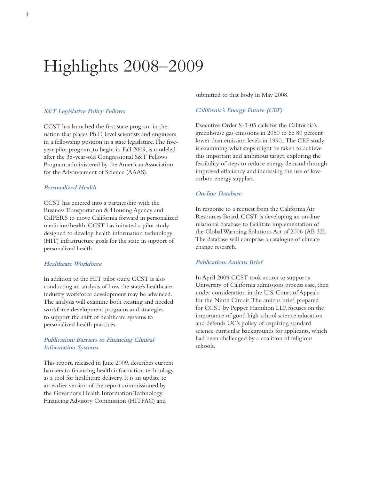# Highlights 2008–2009

### **S&T Legislative Policy Fellows**

CCST has launched the first state program in the nation that places Ph.D. level scientists and engineers in a fellowship position in a state legislature. The fiveyear pilot program, to begin in Fall 2009, is modeled after the 35-year-old Congressional S&T Fellows Program, administered by the American Association for the Advancement of Science (AAAS).

### **Personalized Health**

CCST has entered into a partnership with the Business Transportation & Housing Agency and CalPERS to move California forward in personalized medicine/health. CCST has initiated a pilot study designed to develop health information technology (HIT) infrastructure goals for the state in support of personalized health.

### **Healthcare Workforce**

In addition to the HIT pilot study, CCST is also conducting an analysis of how the state's healthcare industry workforce development may be advanced. The analysis will examine both existing and needed workforce development programs and strategies to support the shift of healthcare systems to personalized health practices.

### **Publication: Barriers to Financing Clinical Information Systems**

This report, released in June 2009, describes current barriers to financing health information technology as a tool for healthcare delivery. It is an update to an earlier version of the report commissioned by the Governor's Health Information Technology Financing Advisory Commission (HITFAC) and

submitted to that body in May 2008.

### **California's Energy Future (CEF)**

Executive Order S-3-05 calls for the California's greenhouse gas emissions in 2050 to be 80 percent lower than emission levels in 1990. The CEF study is examining what steps might be taken to achieve this important and ambitious target, exploring the feasibility of steps to reduce energy demand through improved efficiency and increasing the use of lowcarbon energy supplies.

### **On-line Database**

In response to a request from the California Air Resources Board, CCST is developing an on-line relational database to facilitate implementation of the Global Warming Solutions Act of 2006 (AB 32). The database will comprise a catalogue of climate change research.

### **Publication: Amicus Brief**

In April 2009 CCST took action to support a University of California admissions process case, then under consideration in the U.S. Court of Appeals for the Ninth Circuit. The amicus brief, prepared for CCST by Pepper Hamilton LLP, focuses on the importance of good high school science education and defends UC's policy of requiring standard science curricular backgrounds for applicants, which had been challenged by a coalition of religious schools.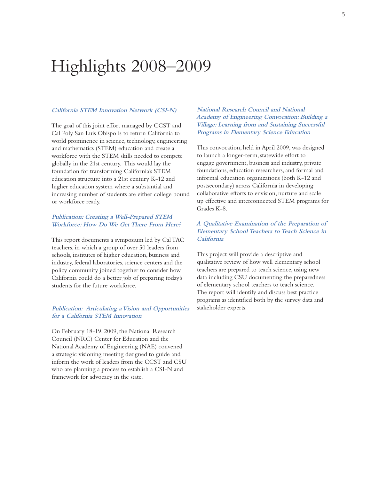# Highlights 2008–2009

### **California STEM Innovation Network (CSI-N)**

The goal of this joint effort managed by CCST and Cal Poly San Luis Obispo is to return California to world prominence in science, technology, engineering and mathematics (STEM) education and create a workforce with the STEM skills needed to compete globally in the 21st century. This would lay the foundation for transforming California's STEM education structure into a 21st century K-12 and higher education system where a substantial and increasing number of students are either college bound or workforce ready.

### **Publication: Creating a Well-Prepared STEM Workforce: How Do We Get There From Here?**

This report documents a symposium led by Cal TAC teachers, in which a group of over 50 leaders from schools, institutes of higher education, business and industry, federal laboratories, science centers and the policy community joined together to consider how California could do a better job of preparing today's students for the future workforce.

### **Publication: Articulating a Vision and Opportunities for a California STEM Innovation**

On February 18-19, 2009, the National Research Council (NRC) Center for Education and the National Academy of Engineering (NAE) convened a strategic visioning meeting designed to guide and inform the work of leaders from the CCST and CSU who are planning a process to establish a CSI-N and framework for advocacy in the state.

### **National Research Council and National Academy of Engineering Convocation: Building a Village: Learning from and Sustaining Successful Programs in Elementary Science Education**

This convocation, held in April 2009, was designed to launch a longer-term, statewide effort to engage government, business and industry, private foundations, education researchers, and formal and informal education organizations (both K-12 and postsecondary) across California in developing collaborative efforts to envision, nurture and scale up effective and interconnected STEM programs for Grades K-8.

### **A Qualitative Examination of the Preparation of Elementary School Teachers to Teach Science in California**

This project will provide a descriptive and qualitative review of how well elementary school teachers are prepared to teach science, using new data including CSU documenting the preparedness of elementary school teachers to teach science. The report will identify and discuss best practice programs as identified both by the survey data and stakeholder experts.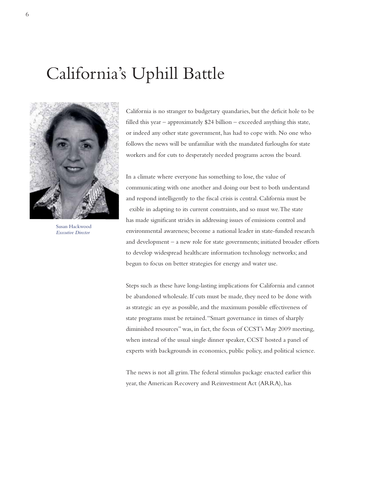# California's Uphill Battle



Susan Hackwood *Executive Director*

California is no stranger to budgetary quandaries, but the deficit hole to be filled this year – approximately \$24 billion – exceeded anything this state, or indeed any other state government, has had to cope with. No one who follows the news will be unfamiliar with the mandated furloughs for state workers and for cuts to desperately needed programs across the board.

In a climate where everyone has something to lose, the value of communicating with one another and doing our best to both understand and respond intelligently to the fiscal crisis is central. California must be f exible in adapting to its current constraints, and so must we. The state has made significant strides in addressing issues of emissions control and environmental awareness; become a national leader in state-funded research and development – a new role for state governments; initiated broader efforts to develop widespread healthcare information technology networks; and begun to focus on better strategies for energy and water use.

Steps such as these have long-lasting implications for California and cannot be abandoned wholesale. If cuts must be made, they need to be done with as strategic an eye as possible, and the maximum possible effectiveness of state programs must be retained. "Smart governance in times of sharply diminished resources" was, in fact, the focus of CCST's May 2009 meeting, when instead of the usual single dinner speaker, CCST hosted a panel of experts with backgrounds in economics, public policy, and political science.

The news is not all grim. The federal stimulus package enacted earlier this year, the American Recovery and Reinvestment Act (ARRA), has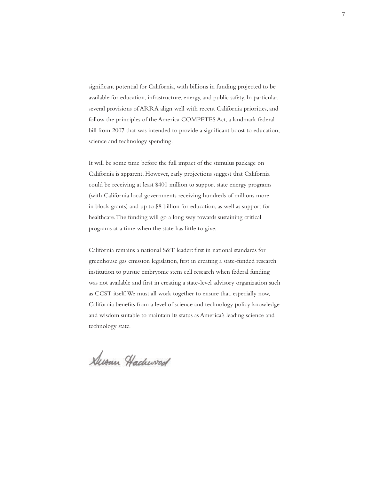significant potential for California, with billions in funding projected to be available for education, infrastructure, energy, and public safety. In particular, several provisions of ARRA align well with recent California priorities, and follow the principles of the America COMPETES Act, a landmark federal bill from 2007 that was intended to provide a significant boost to education, science and technology spending.

It will be some time before the full impact of the stimulus package on California is apparent. However, early projections suggest that California could be receiving at least \$400 million to support state energy programs (with California local governments receiving hundreds of millions more in block grants) and up to \$8 billion for education, as well as support for healthcare. The funding will go a long way towards sustaining critical programs at a time when the state has little to give.

California remains a national S&T leader: first in national standards for greenhouse gas emission legislation, first in creating a state-funded research institution to pursue embryonic stem cell research when federal funding was not available and first in creating a state-level advisory organization such as CCST itself. We must all work together to ensure that, especially now, California benefits from a level of science and technology policy knowledge and wisdom suitable to maintain its status as America's leading science and technology state.

Dusan Hachwood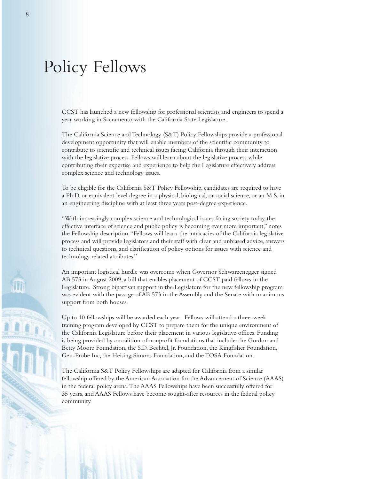# Policy Fellows

CCST has launched a new fellowship for professional scientists and engineers to spend a year working in Sacramento with the California State Legislature.

The California Science and Technology (S&T) Policy Fellowships provide a professional development opportunity that will enable members of the scientific community to contribute to scientific and technical issues facing California through their interaction with the legislative process. Fellows will learn about the legislative process while contributing their expertise and experience to help the Legislature effectively address complex science and technology issues.

To be eligible for the California S&T Policy Fellowship, candidates are required to have a Ph.D. or equivalent level degree in a physical, biological, or social science, or an M.S. in an engineering discipline with at least three years post-degree experience.

"With increasingly complex science and technological issues facing society today, the effective interface of science and public policy is becoming ever more important," notes the Fellowship description. "Fellows will learn the intricacies of the California legislative process and will provide legislators and their staff with clear and unbiased advice, answers to technical questions, and clarification of policy options for issues with science and technology related attributes."

An important logistical hurdle was overcome when Governor Schwarzenegger signed AB 573 in August 2009, a bill that enables placement of CCST paid fellows in the Legislature. Strong bipartisan support in the Legislature for the new fellowship program was evident with the passage of AB 573 in the Assembly and the Senate with unanimous support from both houses.

Up to 10 fellowships will be awarded each year. Fellows will attend a three-week training program developed by CCST to prepare them for the unique environment of the California Legislature before their placement in various legislative offices. Funding is being provided by a coalition of nonprofit foundations that include: the Gordon and Betty Moore Foundation, the S.D. Bechtel, Jr. Foundation, the Kingfisher Foundation, Gen-Probe Inc, the Heising Simons Foundation, and the TOSA Foundation.

The California S&T Policy Fellowships are adapted for California from a similar fellowship offered by the American Association for the Advancement of Science (AAAS) in the federal policy arena. The AAAS Fellowships have been successfully offered for 35 years, and AAAS Fellows have become sought-after resources in the federal policy community.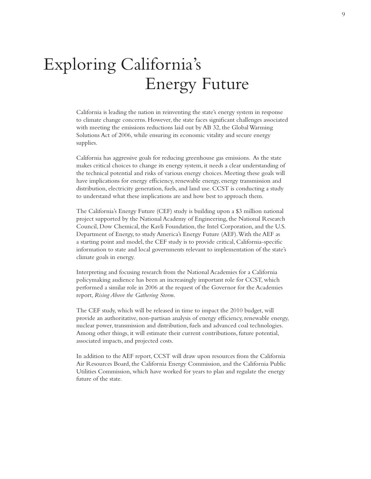# Exploring California's Energy Future

California is leading the nation in reinventing the state's energy system in response to climate change concerns. However, the state faces significant challenges associated with meeting the emissions reductions laid out by AB 32, the Global Warming Solutions Act of 2006, while ensuring its economic vitality and secure energy supplies.

California has aggressive goals for reducing greenhouse gas emissions. As the state makes critical choices to change its energy system, it needs a clear understanding of the technical potential and risks of various energy choices. Meeting these goals will have implications for energy efficiency, renewable energy, energy transmission and distribution, electricity generation, fuels, and land use. CCST is conducting a study to understand what these implications are and how best to approach them.

The California's Energy Future (CEF) study is building upon a \$3 million national project supported by the National Academy of Engineering, the National Research Council, Dow Chemical, the Kavli Foundation, the Intel Corporation, and the U.S. Department of Energy, to study America's Energy Future (AEF). With the AEF as a starting point and model, the CEF study is to provide critical, California-specific information to state and local governments relevant to implementation of the state's climate goals in energy.

Interpreting and focusing research from the National Academies for a California policymaking audience has been an increasingly important role for CCST, which performed a similar role in 2006 at the request of the Governor for the Academies report, *Rising Above the Gathering Storm*.

The CEF study, which will be released in time to impact the 2010 budget, will provide an authoritative, non-partisan analysis of energy efficiency, renewable energy, nuclear power, transmission and distribution, fuels and advanced coal technologies. Among other things, it will estimate their current contributions, future potential, associated impacts, and projected costs.

In addition to the AEF report, CCST will draw upon resources from the California Air Resources Board, the California Energy Commission, and the California Public Utilities Commission, which have worked for years to plan and regulate the energy future of the state.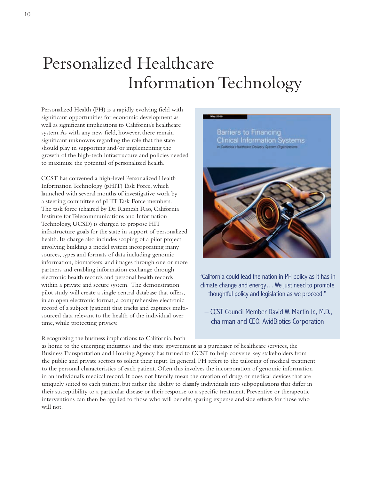# Personalized Healthcare Information Technology

Personalized Health (PH) is a rapidly evolving field with significant opportunities for economic development as well as significant implications to California's healthcare system. As with any new field, however, there remain significant unknowns regarding the role that the state should play in supporting and/or implementing the growth of the high-tech infrastructure and policies needed to maximize the potential of personalized health.

CCST has convened a high-level Personalized Health Information Technology (pHIT) Task Force, which launched with several months of investigative work by a steering committee of pHIT Task Force members. The task force (chaired by Dr. Ramesh Rao, California Institute for Telecommunications and Information Technology, UCSD) is charged to propose HIT infrastructure goals for the state in support of personalized health. Its charge also includes scoping of a pilot project involving building a model system incorporating many sources, types and formats of data including genomic information, biomarkers, and images through one or more partners and enabling information exchange through electronic health records and personal health records within a private and secure system. The demonstration pilot study will create a single central database that offers, in an open electronic format, a comprehensive electronic record of a subject (patient) that tracks and captures multisourced data relevant to the health of the individual over time, while protecting privacy.

Recognizing the business implications to California, both



"California could lead the nation in PH policy as it has in climate change and energy… We just need to promote thoughtful policy and legislation as we proceed."

– CCST Council Member David W. Martin Jr., M.D., chairman and CEO, AvidBiotics Corporation

as home to the emerging industries and the state government as a purchaser of healthcare services, the Business Transportation and Housing Agency has turned to CCST to help convene key stakeholders from the public and private sectors to solicit their input. In general, PH refers to the tailoring of medical treatment to the personal characteristics of each patient. Often this involves the incorporation of genomic information in an individual's medical record. It does not literally mean the creation of drugs or medical devices that are uniquely suited to each patient, but rather the ability to classify individuals into subpopulations that differ in their susceptibility to a particular disease or their response to a specific treatment. Preventive or therapeutic interventions can then be applied to those who will benefit, sparing expense and side effects for those who will not.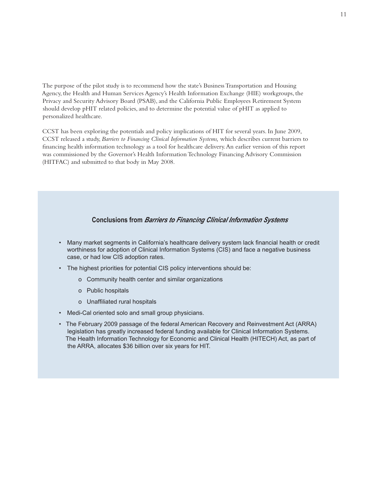The purpose of the pilot study is to recommend how the state's Business Transportation and Housing Agency, the Health and Human Services Agency's Health Information Exchange (HIE) workgroups, the Privacy and Security Advisory Board (PSAB), and the California Public Employees Retirement System should develop pHIT related policies, and to determine the potential value of pHIT as applied to personalized healthcare.

CCST has been exploring the potentials and policy implications of HIT for several years. In June 2009, CCST released a study, *Barriers to Financing Clinical Information Systems,* which describes current barriers to financing health information technology as a tool for healthcare delivery. An earlier version of this report was commissioned by the Governor's Health Information Technology Financing Advisory Commission (HITFAC) and submitted to that body in May 2008.

### **Conclusions from** *Barriers to Financing Clinical Information Systems*

- Many market segments in California's healthcare delivery system lack financial health or credit worthiness for adoption of Clinical Information Systems (CIS) and face a negative business case, or had low CIS adoption rates.
- The highest priorities for potential CIS policy interventions should be:
	- o Community health center and similar organizations
	- o Public hospitals
	- o Unaffiliated rural hospitals
- Medi-Cal oriented solo and small group physicians.
- The February 2009 passage of the federal American Recovery and Reinvestment Act (ARRA) legislation has greatly increased federal funding available for Clinical Information Systems. The Health Information Technology for Economic and Clinical Health (HITECH) Act, as part of the ARRA, allocates \$36 billion over six years for HIT.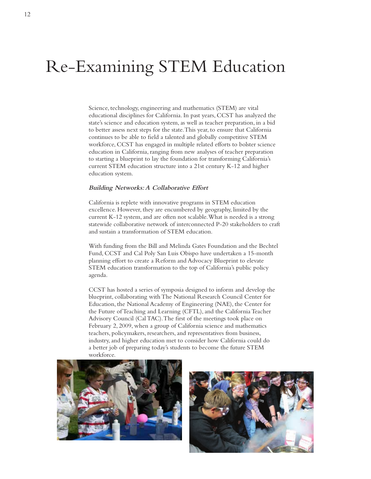# Re-Examining STEM Education

Science, technology, engineering and mathematics (STEM) are vital educational disciplines for California. In past years, CCST has analyzed the state's science and education system, as well as teacher preparation, in a bid to better assess next steps for the state. This year, to ensure that California continues to be able to field a talented and globally competitive STEM workforce, CCST has engaged in multiple related efforts to bolster science education in California, ranging from new analyses of teacher preparation to starting a blueprint to lay the foundation for transforming California's current STEM education structure into a 21st century K-12 and higher education system.

### **Building Networks: A Collaborative Effort**

California is replete with innovative programs in STEM education excellence. However, they are encumbered by geography, limited by the current K-12 system, and are often not scalable. What is needed is a strong statewide collaborative network of interconnected P-20 stakeholders to craft and sustain a transformation of STEM education.

With funding from the Bill and Melinda Gates Foundation and the Bechtel Fund, CCST and Cal Poly San Luis Obispo have undertaken a 15-month planning effort to create a Reform and Advocacy Blueprint to elevate STEM education transformation to the top of California's public policy agenda.

CCST has hosted a series of symposia designed to inform and develop the blueprint, collaborating with The National Research Council Center for Education, the National Academy of Engineering (NAE), the Center for the Future of Teaching and Learning (CFTL), and the California Teacher Advisory Council (Cal TAC). The first of the meetings took place on February 2, 2009, when a group of California science and mathematics teachers, policymakers, researchers, and representatives from business, industry, and higher education met to consider how California could do a better job of preparing today's students to become the future STEM workforce.



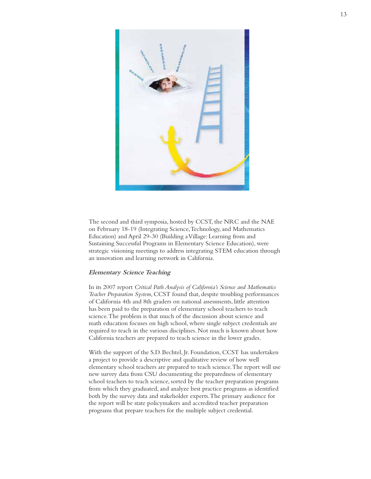

The second and third symposia, hosted by CCST, the NRC and the NAE on February 18-19 (Integrating Science, Technology, and Mathematics Education) and April 29-30 (Building a Village: Learning from and Sustaining Successful Programs in Elementary Science Education), were strategic visioning meetings to address integrating STEM education through an innovation and learning network in California.

### **Elementary Science Teaching**

In its 2007 report *Critical Path Analysis of California's Science and Mathematics Teacher Preparation System*, CCST found that, despite troubling performances of California 4th and 8th graders on national assessments, little attention has been paid to the preparation of elementary school teachers to teach science. The problem is that much of the discussion about science and math education focuses on high school, where single subject credentials are required to teach in the various disciplines. Not much is known about how California teachers are prepared to teach science in the lower grades.

With the support of the S.D. Bechtel, Jr. Foundation, CCST has undertaken a project to provide a descriptive and qualitative review of how well elementary school teachers are prepared to teach science. The report will use new survey data from CSU documenting the preparedness of elementary school teachers to teach science, sorted by the teacher preparation programs from which they graduated, and analyze best practice programs as identified both by the survey data and stakeholder experts. The primary audience for the report will be state policymakers and accredited teacher preparation programs that prepare teachers for the multiple subject credential.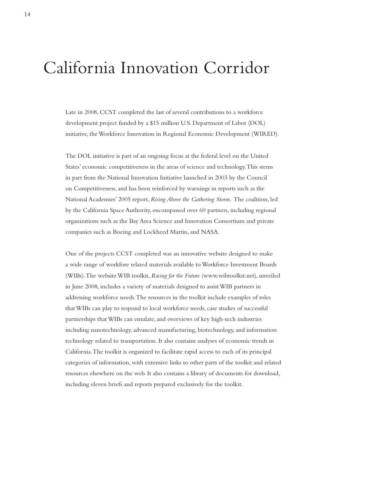# California Innovation Corridor

Late in 2008, CCST completed the last of several contributions to a workforce development project funded by a \$15 million U.S. Department of Labor (DOL) initiative, the Workforce Innovation in Regional Economic Development (WIRED).

The DOL initiative is part of an ongoing focus at the federal level on the United States' economic competitiveness in the areas of science and technology. This stems in part from the National Innovation Initiative launched in 2003 by the Council on Competitiveness, and has been reinforced by warnings in reports such as the National Academies' 2005 report, *Rising Above the Gathering Storm*. The coalition, led by the California Space Authority, encompassed over 60 partners, including regional organizations such as the Bay Area Science and Innovation Consortium and private companies such as Boeing and Lockheed Martin, and NASA.

One of the projects CCST completed was an innovative website designed to make a wide range of workfore related materials available to Workforce Investment Boards (WIBs). The website WIB toolkit, *Racing for the Future* (www.wibtoolkit.net), unveiled in June 2008, includes a variety of materials designed to assist WIB partners in addressing workforce needs. The resources in the toolkit include examples of roles that WIBs can play to respond to local workforce needs, case studies of successful partnerships that WIBs can emulate, and overviews of key high-tech industries including nanotechnology, advanced manufacturing, biotechnology, and information technology related to transportation. It also contains analyses of economic trends in California. The toolkit is organized to facilitate rapid access to each of its principal categories of information, with extensive links to other parts of the toolkit and related resources elsewhere on the web. It also contains a library of documents for download, including eleven briefs and reports prepared exclusively for the toolkit.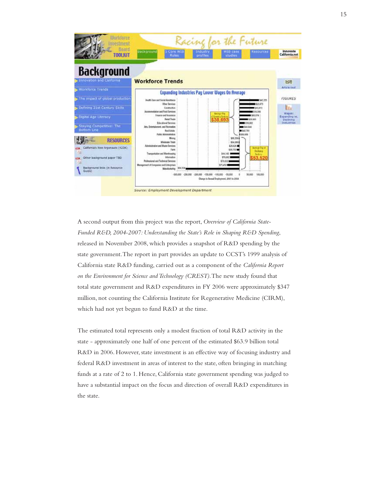

A second output from this project was the report, *Overview of California State-Funded R&D, 2004-2007: Understanding the State's Role in Shaping R&D Spending*, released in November 2008, which provides a snapshot of R&D spending by the state government. The report in part provides an update to CCST's 1999 analysis of California state R&D funding, carried out as a component of the *California Report on the Environment for Science and Technology (CREST)*. The new study found that total state government and R&D expenditures in FY 2006 were approximately \$347 million, not counting the California Institute for Regenerative Medicine (CIRM), which had not yet begun to fund R&D at the time.

The estimated total represents only a modest fraction of total R&D activity in the state - approximately one half of one percent of the estimated \$63.9 billion total R&D in 2006. However, state investment is an effective way of focusing industry and federal R&D investment in areas of interest to the state, often bringing in matching funds at a rate of 2 to 1. Hence, California state government spending was judged to have a substantial impact on the focus and direction of overall R&D expenditures in the state.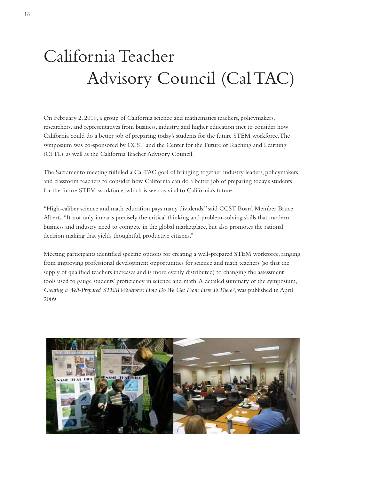# California Teacher Advisory Council (Cal TAC)

On February 2, 2009, a group of California science and mathematics teachers, policymakers, researchers, and representatives from business, industry, and higher education met to consider how California could do a better job of preparing today's students for the future STEM workforce. The symposium was co-sponsored by CCST and the Center for the Future of Teaching and Learning (CFTL), as well as the California Teacher Advisory Council.

The Sacramento meeting fulfilled a Cal TAC goal of bringing together industry leaders, policymakers and classroom teachers to consider how California can do a better job of preparing today's students for the future STEM workforce, which is seen as vital to California's future.

"High-caliber science and math education pays many dividends," said CCST Board Member Bruce Alberts. "It not only imparts precisely the critical thinking and problem-solving skills that modern business and industry need to compete in the global marketplace, but also promotes the rational decision making that yields thoughtful, productive citizens."

Meeting participants identified specific options for creating a well-prepared STEM workforce, ranging from improving professional development opportunities for science and math teachers (so that the supply of qualified teachers increases and is more evenly distributed) to changing the assessment tools used to gauge students' proficiency in science and math. A detailed summary of the symposium, *Creating a Well-Prepared STEM Workforce: How Do We Get From Here To There?*, was published in April 2009.

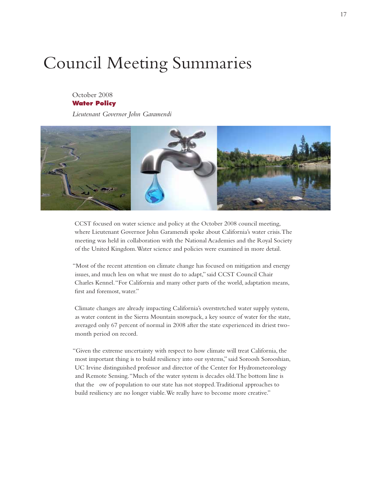# Council Meeting Summaries

### October 2008 **Water Policy**

*Lieutenant Governor John Garamendi*



CCST focused on water science and policy at the October 2008 council meeting, where Lieutenant Governor John Garamendi spoke about California's water crisis. The meeting was held in collaboration with the National Academies and the Royal Society of the United Kingdom. Water science and policies were examined in more detail.

"Most of the recent attention on climate change has focused on mitigation and energy issues, and much less on what we must do to adapt," said CCST Council Chair Charles Kennel. "For California and many other parts of the world, adaptation means, first and foremost, water."

Climate changes are already impacting California's overstretched water supply system, as water content in the Sierra Mountain snowpack, a key source of water for the state, averaged only 67 percent of normal in 2008 after the state experienced its driest twomonth period on record.

"Given the extreme uncertainty with respect to how climate will treat California, the most important thing is to build resiliency into our systems," said Soroosh Sorooshian, UC Irvine distinguished professor and director of the Center for Hydrometeorology and Remote Sensing. "Much of the water system is decades old. The bottom line is that the flow of population to our state has not stopped. Traditional approaches to build resiliency are no longer viable. We really have to become more creative."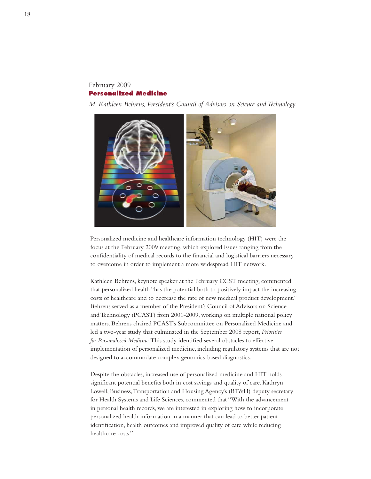### February 2009 **Personalized Medicine**

*M. Kathleen Behrens, President's Council of Advisors on Science and Technology* 



Personalized medicine and healthcare information technology (HIT) were the focus at the February 2009 meeting, which explored issues ranging from the confidentiality of medical records to the financial and logistical barriers necessary to overcome in order to implement a more widespread HIT network.

Kathleen Behrens, keynote speaker at the February CCST meeting, commented that personalized health "has the potential both to positively impact the increasing costs of healthcare and to decrease the rate of new medical product development." Behrens served as a member of the President's Council of Advisors on Science and Technology (PCAST) from 2001-2009, working on multiple national policy matters. Behrens chaired PCAST's Subcommittee on Personalized Medicine and led a two-year study that culminated in the September 2008 report, *Priorities for Personalized Medicine*. This study identified several obstacles to effective implementation of personalized medicine, including regulatory systems that are not designed to accommodate complex genomics-based diagnostics.

Despite the obstacles, increased use of personalized medicine and HIT holds significant potential benefits both in cost savings and quality of care. Kathryn Lowell, Business, Transportation and Housing Agency's (BT&H) deputy secretary for Health Systems and Life Sciences, commented that "With the advancement in personal health records, we are interested in exploring how to incorporate personalized health information in a manner that can lead to better patient identification, health outcomes and improved quality of care while reducing healthcare costs."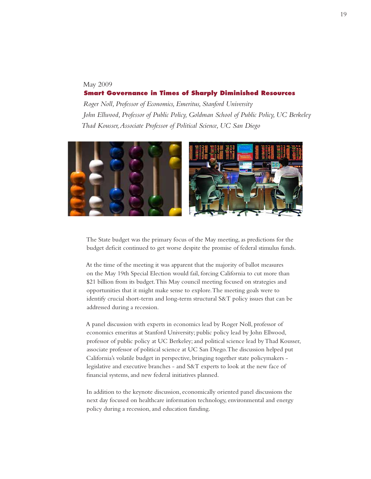### May 2009  **Smart Governance in Times of Sharply Diminished Resources**

 *Roger Noll, Professor of Economics, Emeritus, Stanford University John Ellwood, Professor of Public Policy, Goldman School of Public Policy, UC Berkeley Thad Kousser, Associate Professor of Political Science, UC San Diego*



The State budget was the primary focus of the May meeting, as predictions for the budget deficit continued to get worse despite the promise of federal stimulus funds.

At the time of the meeting it was apparent that the majority of ballot measures on the May 19th Special Election would fail, forcing California to cut more than \$21 billion from its budget. This May council meeting focused on strategies and opportunities that it might make sense to explore. The meeting goals were to identify crucial short-term and long-term structural S&T policy issues that can be addressed during a recession.

A panel discussion with experts in economics lead by Roger Noll, professor of economics emeritus at Stanford University; public policy lead by John Ellwood, professor of public policy at UC Berkeley; and political science lead by Thad Kousser, associate professor of political science at UC San Diego. The discussion helped put California's volatile budget in perspective, bringing together state policymakers legislative and executive branches - and S&T experts to look at the new face of financial systems, and new federal initiatives planned.

In addition to the keynote discussion, economically oriented panel discussions the next day focused on healthcare information technology, environmental and energy policy during a recession, and education funding.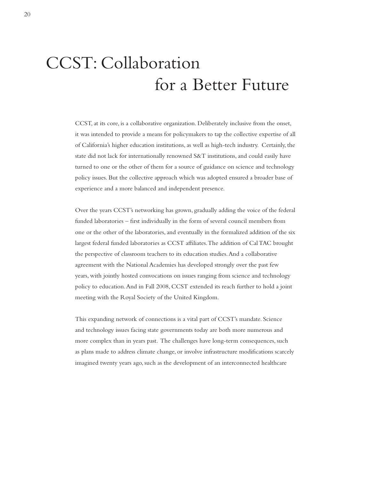# CCST: Collaboration for a Better Future

CCST, at its core, is a collaborative organization. Deliberately inclusive from the onset, it was intended to provide a means for policymakers to tap the collective expertise of all of California's higher education institutions, as well as high-tech industry. Certainly, the state did not lack for internationally renowned S&T institutions, and could easily have turned to one or the other of them for a source of guidance on science and technology policy issues. But the collective approach which was adopted ensured a broader base of experience and a more balanced and independent presence.

Over the years CCST's networking has grown, gradually adding the voice of the federal funded laboratories – first individually in the form of several council members from one or the other of the laboratories, and eventually in the formalized addition of the six largest federal funded laboratories as CCST affiliates. The addition of Cal TAC brought the perspective of classroom teachers to its education studies. And a collaborative agreement with the National Academies has developed strongly over the past few years, with jointly hosted convocations on issues ranging from science and technology policy to education. And in Fall 2008, CCST extended its reach further to hold a joint meeting with the Royal Society of the United Kingdom.

This expanding network of connections is a vital part of CCST's mandate. Science and technology issues facing state governments today are both more numerous and more complex than in years past. The challenges have long-term consequences, such as plans made to address climate change, or involve infrastructure modifications scarcely imagined twenty years ago, such as the development of an interconnected healthcare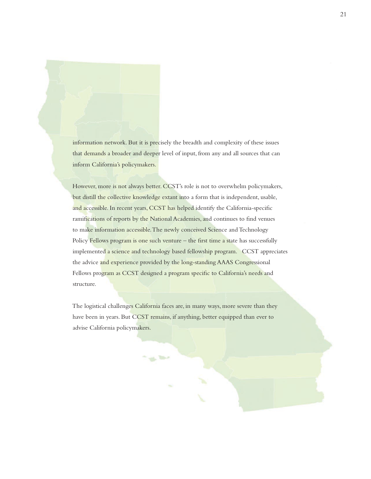information network. But it is precisely the breadth and complexity of these issues that demands a broader and deeper level of input, from any and all sources that can inform California's policymakers.

However, more is not always better. CCST's role is not to overwhelm policymakers, but distill the collective knowledge extant into a form that is independent, usable, and accessible. In recent years, CCST has helped identify the California-specific ramifications of reports by the National Academies, and continues to find venues to make information accessible. The newly conceived Science and Technology Policy Fellows program is one such venture – the first time a state has successfully implemented a science and technology based fellowship program. CCST appreciates the advice and experience provided by the long-standing AAAS Congressional Fellows program as CCST designed a program specific to California's needs and structure.

The logistical challenges California faces are, in many ways, more severe than they have been in years. But CCST remains, if anything, better equipped than ever to advise California policymakers.

**TO BY**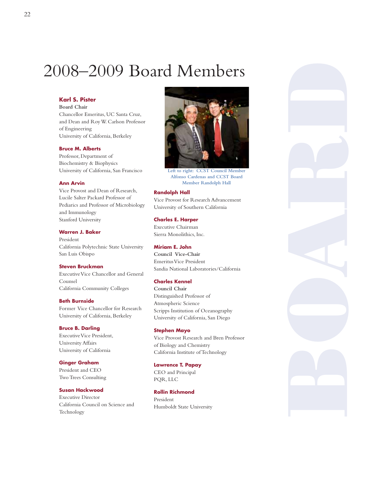# 2008–2009 Board Members

### **Karl S. Pister**

**Board Chair** Chancellor Emeritus, UC Santa Cruz, and Dean and Roy W. Carlson Professor of Engineering University of California, Berkeley

### **Bruce M. Alberts**

Professor, Department of Biochemistry & Biophysics University of California, San Francisco

### **Ann Arvin**

Vice Provost and Dean of Research, Lucile Salter Packard Professor of Pediarics and Professor of Microbiology and Immunology Stanford University

### **Warren J. Baker**

President California Polytechnic State University San Luis Obispo

### **Steven Bruckman**

Executive Vice Chancellor and General Counsel California Community Colleges

### **Beth Burnside** Former Vice Chancellor for Research University of California, Berkeley

### **Bruce B. Darling**

Executive Vice President, University Affairs University of California

### **Ginger Graham**

President and CEO Two Trees Consulting

### **Susan Hackwood**

Executive Director California Council on Science and Technology



**Left to right: CCST Council Member Alfonso Cardenas and CCST Board Member Randolph Hall** 

### **Randolph Hall**

Vice Provost for Research Advancement University of Southern California

**Charles E. Harper** 

Executive Chairman Sierra Monolithics, Inc.

### **Miriam E. John**

**Council Vice-Chair**  Emeritus Vice President Sandia National Laboratories/California

### **Charles Kennel**

**Council Chair** Distinguished Professor of Atmospheric Science Scripps Institution of Oceanography University of California, San Diego

### **Stephen Mayo**

Vice Provost Research and Bren Professor of Biology and Chemistry California Institute of Technology

### **Lawrence T. Papay**

CEO and Principal PQR, LLC

## **Rollin Richmond**

President Humboldt State University

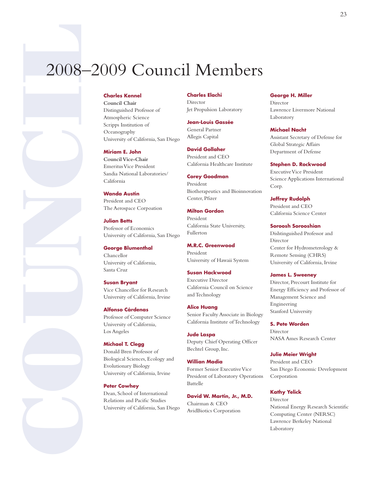# 2008—2009 C<br>
Charles Kennel Council Chair<br>
Distinguished Production<br>
Amorpheric Science<br>
Strengthen University of California<br>
Miriam E. John<br>
Council Vice-Charles Consequently<br>
University of California<br>
Worlds Austin Presi 2008–2009 Council Members

**Council Chair**  Distinguished Professor of Atmospheric Science Scripps Institution of Oceanography University of California, San Diego

### **Miriam E. John**

**Council Vice-Chair** Emeritus Vice President Sandia National Laboratories/ California

**Wanda Austin**  President and CEO The Aerospace Corpoation

**Julian Betts**  Professor of Economics University of California, San Diego

**George Blumenthal** Chancellor University of California, Santa Cruz

**Susan Bryant** Vice Chancellor for Research University of California, Irvine

**Alfonso Cárdenas**  Professor of Computer Science University of California, Los Angeles

### **Michael T. Clegg**

Donald Bren Professor of Biological Sciences, Ecology and Evolutionary Biology University of California, Irvine

### **Peter Cowhey**

Dean, School of International Relations and Pacific Studies University of California, San Diego

### **Charles Elachi**

Director Jet Propulsion Laboratory

**Jean-Louis Gassée** General Partner Allegis Capital

**David Gollaher**  President and CEO California Healthcare Institute

**Corey Goodman**  President Biotherapeutics and Bioinnovation Center, Pfizer

**Milton Gordon** President California State University, Fullerton

**M.R.C. Greenwood**  President University of Hawaii System

### **Susan Hackwood**

Executive Director California Council on Science and Technology

**Alice Huang**  Senior Faculty Associate in Biology California Institute of Technology

**Jude Laspa**  Deputy Chief Operating Officer Bechtel Group, Inc.

**Willian Madia**  Former Senior Executive Vice President of Laboratory Operations Battelle

**David W. Martin, Jr., M.D.**  Chairman & CEO AvidBiotics Corporation

### **George H. Miller**

Director Lawrence Livermore National Laboratory

**Michael Nacht**  Assistant Secretary of Defense for

Global Strategic Affairs Department of Defense

### **Stephen D. Rockwood**

Executive Vice President Science Applications International Corp.

**Jeffrey Rudolph**  President and CEO California Science Center

### **Soroosh Sorooshian**

Dishtinguished Professor and Director Center for Hydrometerology & Remote Sensing (CHRS) University of California, Irvine

### **James L. Sweeney**

Director, Precourt Institute for Energy Efficiency and Professor of Management Science and Engineering Stanford University

### **S. Pete Worden**

Director NASA Ames Research Center

### **Julie Meier Wright**

President and CEO San Diego Economic Development Corporation

### **Kathy Yelick**

Director National Energy Research Scientific Computing Center (NERSC) Lawrence Berkeley National Laboratory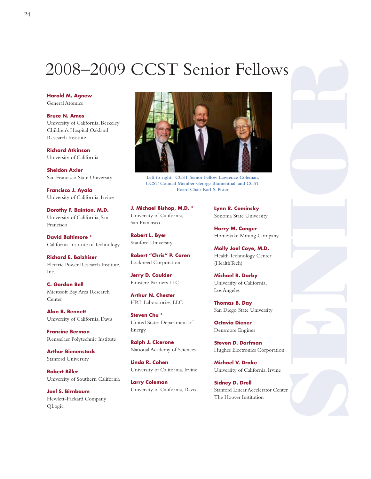# 2008–2009 CCST Senior Fellows

**Harold M. Agnew**  General Atomics

**Bruce N. Ames**  University of California, Berkeley Children's Hospital Oakland Research Institute

**Richard Atkinson**  University of California

**Sheldon Axler**  San Francisco State University

**Francisco J. Ayala**  University of California, Irvine

**Dorothy F. Bainton, M.D.**  University of California, San Francisco

**David Baltimore \***  California Institute of Technology

**Richard E. Balzhiser**  Electric Power Research Institute, Inc.

**C. Gordon Bell** Microsoft Bay Area Research Center

**Alan B. Bennett**  University of California, Davis

**Francine Berman**  Rensselaer Polytechnic Institute

**Arthur Bienenstock**  Stanford University

**Robert Biller**  University of Southern California

**Joel S. Birnbaum**  Hewlett-Packard Company QLogic



**Left to right: CCST Senior Fellow Lawrence Coleman, CCST Council Member George Blumenthal, and CCST Board Chair Karl S. Pister** 

**J. Michael Bishop, M.D. \*** University of California, San Francisco

**Robert L. Byer**  Stanford University

**Robert "Chris" P. Caren**  Lockheed Corporation

**Jerry D. Caulder**  Finistere Partners LLC

**Arthur N. Chester** HRL Laboratories, LLC

**Steven Chu \*** United States Department of Energy

**Ralph J. Cicerone**  National Academy of Sciences

**Linda R. Cohen** University of California, Irvine

**Larry Coleman** University of California, Davis **Lynn R. Cominsky** Sonoma State University

**Harry M. Conger**  Homestake Mining Company

**Molly Joel Coye, M.D.** Health Technology Center (HealthTech)

**Michael R. Darby** University of California, Los Angeles

**Thomas B. Day** San Diego State University

**Octavia Diener** Densmore Engines

**Steven D. Dorfman** Hughes Electronics Corporation

**Michael V. Drake** University of California, Irvine

**Sidney D. Drell**  Stanford Linear Accelerator Center The Hoover Institution

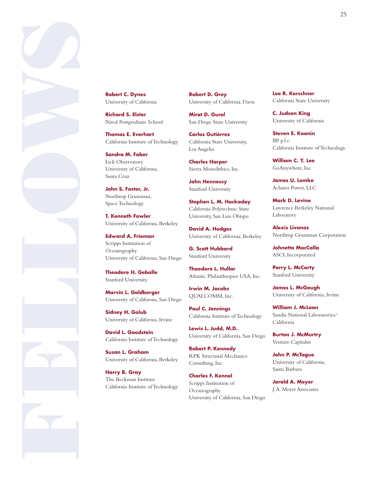

University of California

**Richard S. Elster**  Naval Postgraduate School

**Thomas E. Everhart**  California Institute of Technology

**Sandra M. Faber** Lick Observatory University of California, Santa Cruz

**John S. Foster, Jr.** Northrop Grumman, Space Technology

**T. Kenneth Fowler**  University of California, Berkeley

**Edward A. Frieman** Scripps Institution of Oceanography University of California, San Diego

**Theodore H. Geballe** Stanford University

**Marvin L. Goldberger**  University of California, San Diego

**Sidney H. Golub** University of California, Irvine

**David L. Goodstein**  California Institute of Technology

**Susan L. Graham** University of California, Berkeley

**Harry B. Gray** The Beckman Institute California Institute of Technology **Robert D. Grey**  University of California, Davis

**Mirat D. Gurol**  San Diego State University

**Carlos Gutiérrez**  California State University, Los Angeles

**Charles Harper** Sierra Monolithics, Inc.

**John Hennessy**  Stanford University

**Stephen L. M. Hockaday**  California Polytechnic State University, San Luis Obispo

**David A. Hodges**  University of California, Berkeley

**G. Scott Hubbard**  Stanford University

**Theodore L. Hullar** Atlantic Philanthropies USA, Inc.

**Irwin M. Jacobs**  QUALCOMM, Inc.

**Paul C. Jennings**  California Institute of Technology

**Lewis L. Judd, M.D.**  University of California, San Diego

**Robert P. Kennedy** RPK Structural Mechanics Consulting, Inc.

**Charles F. Kennel**  Scripps Institution of Oceanography University of California, San Diego **Lee R. Kerschner** California State University

**C. Judson King**  University of California

**Steven E. Koonin** BP p.l.c. California Institute of Technology

**William C. Y. Lee** GoAnywhere, Inc.

**James U. Lemke** Achates Power, LLC

**Mark D. Levine**  Lawrence Berkeley National Laboratory

**Alexis Livanos**  Northrop Grumman Corporation

**Johnetta MacCalla** ASCI, Incorporated

**Perry L. McCarty** Stanford University

**James L. McGaugh** University of California, Irvine

**William J. McLean** Sandia National Laboratories/ California

**Burton J. McMurtry** Venture Capitalist

**John P. McTague** University of California, Santa Barbara

**Jarold A. Meyer**  J. A. Meyer Associates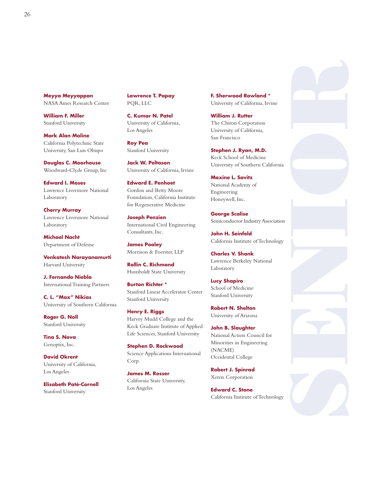**Meyya Meyyappan**  NASA Ames Research Center

**William F. Miller** Stanford University

**Mark Alan Moline** California Polytechnic State University, San Luis Obispo

**Douglas C. Moorhouse**  Woodward-Clyde Group, Inc

**Edward I. Moses** Lawrence Livermore National Laboratory

**Cherry Murray**  Lawrence Livermore National Laboratory

**Michael Nacht** Department of Defense

**Venkatesh Narayanamurti** Harvard University

**J. Fernando Niebla**  International Training Partners

**C. L. "Max" Nikias**  University of Southern California

**Roger G. Noll** Stanford University

**Tina S. Nova**  Genoptix, Inc.

**David Okrent**  University of California, Los Angeles

**Elisabeth Paté-Cornell** Stanford University

**Lawrence T. Papay** PQR, LLC

**C. Kumar N. Patel** University of California, Los Angeles

**Roy Pea** Stanford University

**Jack W. Peltason** University of California, Irvine

**Edward E. Penhoet**  Gordon and Betty Moore Foundation, California Institute for Regenerative Medicine

**Joseph Penzien**  International Civil Engineering Consultants, Inc.

**James Pooley**  Morrison & Foerster, LLP

**Rollin C. Richmond**  Humboldt State University

**Burton Richter \*** Stanford Linear Accelerator Center Stanford University

**Henry E. Riggs**  Harvey Mudd College and the Keck Graduate Institute of Applied Life Sciences, Stanford University

**Stephen D. Rockwood**  Science Applications International Corp.

**James M. Rosser**  California State University, Los Angeles

**F. Sherwood Rowland \*** University of California, Irvine

**William J. Rutter** The Chiron Corporation University of California, San Francisco

**Stephen J. Ryan, M.D.**  Keck School of Medicine University of Southern California

**Maxine L. Savitz**  National Academy of Engineering Honeywell, Inc.

**George Scalise** Semiconductor Industry Association

**John H. Seinfeld**  California Institute of Technology

**Charles V. Shank** Lawrence Berkeley National Laboratory

**Lucy Shapiro**  School of Medicine Stanford University

**Robert N. Shelton**  University of Arizona

**John B. Slaughter**  National Action Council for Minorities in Engineering (NACME) Occidental College

**Robert J. Spinrad**  Xerox Corporation

**Edward C. Stone**  California Institute of Technology

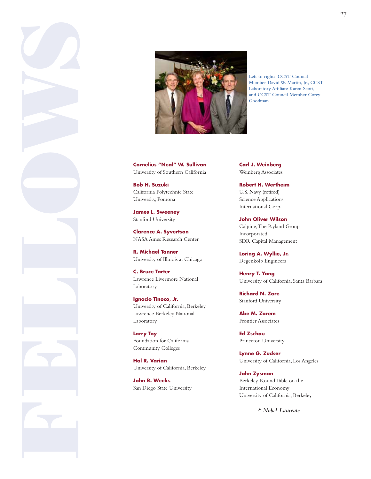

**Left to right: CCST Council Member David W. Martin, Jr., CCST Laboratory Affiliate Karen Scott, and CCST Council Member Corey Goodman** 

University of Southern California

**Bob H. Suzuki**  California Polytechnic State University, Pomona

**James L. Sweeney**  Stanford University

**Clarence A. Syvertson**  NASA Ames Research Center

**R. Michael Tanner**  University of Illinois at Chicago

**C. Bruce Tarter**  Lawrence Livermore National Laboratory

**Ignacio Tinoco, Jr.**  University of California, Berkeley Lawrence Berkeley National Laboratory

**Larry Toy**  Foundation for California Community Colleges

**Hal R. Varian**  University of California, Berkeley

**John R. Weeks** San Diego State University **Carl J. Weinberg**  Weinberg Associates

**Robert H. Wertheim**  U.S. Navy (retired) Science Applications International Corp.

**John Oliver Wilson**  Calpine, The Ryland Group Incorporated SDR Capital Management

**Loring A. Wyllie, Jr.**  Degenkolb Engineers

**Henry T. Yang**  University of California, Santa Barbara

**Richard N. Zare**  Stanford University

**Abe M. Zarem**  Frontier Associates

**Ed Zschau**  Princeton University

**Lynne G. Zucker**  University of California, Los Angeles

**John Zysman**  Berkeley Round Table on the International Economy University of California, Berkeley

*\* Nobel Laureate*